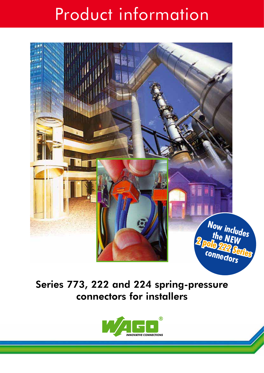# Product information



Series 773, 222 and 224 spring-pressure connectors for installers

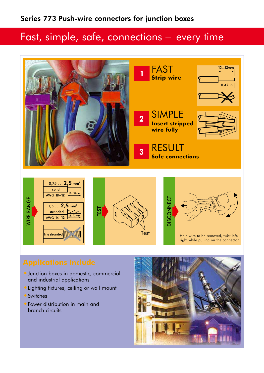## Fast, simple, safe, connections – every time



- •Junction boxes in domestic, commercial and industrial applications
- •Lighting fixtures, ceiling or wall mount
- Switches
- Power distribution in main and branch circuits

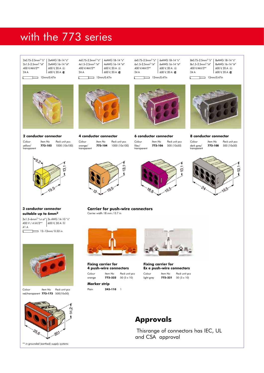## with the 773 series

| $2x0.75 - 2.5$ mm <sup>2</sup> "s" |                                                                                                                                                                                                                                                                                                                                                              |  |
|------------------------------------|--------------------------------------------------------------------------------------------------------------------------------------------------------------------------------------------------------------------------------------------------------------------------------------------------------------------------------------------------------------|--|
| $2x1.5 - 2.5$ mm <sup>2</sup> "st" | $\left  \begin{array}{l} 2 \text{xAWG} \ 18 \text{--} 14 \ \text{``s''} \\ 2 \text{xAWG} \ 16 \text{--} 14 \ \text{``st''} \\ 600 \ \text{V, } 20 \ \text{A} \ \textcircled{\scriptsize{\textcircled{\tiny \textcirc}}} \\ 600 \ \text{V, } 20 \ \text{A} \ \textcircled{\scriptsize{\textcircled{\tiny \textcircled{\tiny \textcirc}}} \end{array} \right.$ |  |
| 400 V/4kV/2**                      |                                                                                                                                                                                                                                                                                                                                                              |  |
| 24A                                |                                                                                                                                                                                                                                                                                                                                                              |  |
| 12mm/0.47in                        |                                                                                                                                                                                                                                                                                                                                                              |  |

12mm/0.47in



**2 conductor connector** *Colour Item No Pack unit pcs*

yellow/<br>transparent

4x0.75–2.5mm2 "s" 4xAWG 18–14 "s" 4x1.5–2.5mm2 "st" 4xAWG 16–14 "st" 400 V/4kV/2\*\* 600 V, 20 A  $\circledR$ 24 A 600 V, 20 A **C**  $T \rightarrow 12$ mm/0.47in



**4 conductor connector** *Colour Item No Pack unit pcs* **773-104** 1000 (10x100) transparent

**6 conductor connector**

transparent

 $\epsilon$ 

6x0.75–2.5mm<sup>2</sup> "s" | 6xAWG 18–14 "s" 6x1.5–2.5mm2 "st" 6xAWG 16–14 "st" 400 V/4kV/2\*\* 600 V, 20 A  $\circledR$ 24 A 600 V, 20 A **C**  $12$ mm/0.47in

*Colour Item No Pack unit pcs* lilac/ **773-106** 500 (10x50)

8x0.75–2.5mm<sup>2</sup> "s" | 8xAWG 18–14 "s" 8x1.5–2.5mm<sup>2</sup> "st" 8xAWG 16–14 "st" 400 V/4kV/2\*\* 600 V, 20 A  $\circledR$ 24 A 600 V, 20 A **C**  $12$ mm/0.47in



**8 conductor connector**

*Colour Item No Pack unit pcs* **773-108** 500 (10x50) dark grey/<br>transparent





yellow/ **773-102** 1000 (10x100)

195





**3 conductor connector suitable up to 6mm2**

3x1.5–6mm2 "s+st" 3x AWG 14-10 "s" 400 V / 4 kV/2\*\* 600 V, 30 A  $\circledR$ 41 A  $12-13$ mm/ 0.53 in  $\sqrt{ }$ 



*Colour Item No Pack unit pcs* red/transparent **773-173** 500(10x50)



\*\* *in grounded (earthed) supply systems*

### **Carrier for push-wire connectors** Carrier width 18 mm / 0.7 in



**Fixing carrier for 4 push-wire connectors** *Colour Item No Pack unit pcs* orange **773-332** 50 (5 x 10)

**Marker strip** Plain **243-110** 1



**Fixing carrier for Ex e push-wire connectors** *Colour Item No Pack unit pcs* light grey **773-331** 50 (5 x 10)

## **Approvals**

Thisrange of connectors has IEC, UL and CSA approval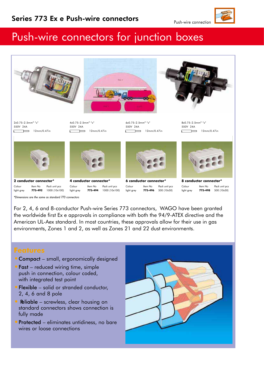

## Push-wire connectors for junction boxes



2x0.75–2.5mm<sup>2</sup> "s" 550V 24A  $12mm/0.47in$  $\sqrt{ }$ 



6x0.75–2.5mm<sup>2</sup> "s" 550V 24A  $\overline{\phantom{a}}$  12mm/0.47in  $\sqrt{ }$ 

 $8x0.75-2.5mm^2$  "s" 550V 24A  $\overline{\phantom{a}}$  12mm/0.47in  $\sqrt{ }$ 





**2 conductor connector\*** *Colour Item No Pack unit pcs*

**4 conductor connector\*** *Colour Item No Pack unit pcs* light grey **773-494** 1000 (10x100)



**6 conductor connector\*** *Colour Item No Pack unit pcs* light grey **773-496** 500 (10x50)



**8 conductor connector\*** *Colour Item No Pack unit pcs* light grey **773-498** 500 (10x50)

light grey **773-492** 1000 (10x100)

\*Dimensions are the same as standard 773 connectors

For 2, 4, 6 and 8-conductor Push-wire Series 773 connectors, WAGO have been granted the worldwide first Ex e approvals in compliance with both the 94/9-ATEX directive and the American UL-Aex standard. In most countries, these approvals allow for their use in gas environments, Zones 1 and 2, as well as Zones 21 and 22 dust environments.

- Compact small, ergonomically designed
- Fast reduced wiring time, simple push in connection, colour coded, with integrated test point
- Flexible solid or stranded conductor, 2, 4, 6 and 8 pole
- **Reliable** screwless, clear housing on standard connectors shows connection is fully made
- Protected eliminates untidiness, no bare wires or loose connections



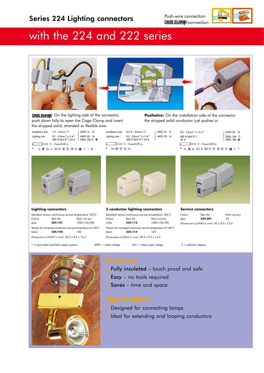Push-wire connection CAGE CLAMP<sup>\*</sup>connection



## with the 224 and 222 series







CAGE CLAMS<sup>®</sup> On the lighting side of the connector, push down fully to open the Cage Clamp and insert the stripped solid, stranded or flexible wire

**Pushwire:** On the installation side of the connector the stripped solid conductor just pushes in

- Installation side 1.0 2.5mm2 "s" AWG 14 12 Lighting side 0.5 - 2.5mm "s+f-st" | AWG 20 - 16<br>
400 V/4kV/2\*\*; 24 A 300V, 18A  $\sqrt{ }$  $\frac{1}{2}$  9 - 11mm/0.39 in \*\* \*
	- Installation side 2x1.0 2.5mm2 "s" AWG 16 14 Lighting side  $0.5 - 2.5$ mm<sup>2</sup> "s+f-st" | AWG 20 - 16<br>400 V/4kV/2\*\*; 24 A  $\sqrt{2}$  $\frac{1}{2}$  9 - 11mm/0.39 in





### **Lighting connectors**

| Standard version continuous service temperature 105°C         |         |               |  |
|---------------------------------------------------------------|---------|---------------|--|
| Colour                                                        | Item No | Pack unit pcs |  |
| grey                                                          | 224-101 | 1000 (10x100) |  |
| Version for increased continuous service temperature of 140°C |         |               |  |
| black                                                         | 224-104 | 100           |  |
| Dimensions (LxWxH in mm): $20.5 \times 8.5 \times 15.5$       |         |               |  |

### **2 conductor lighting connectors**

Standard version continuous service temperature 105°C *Colour Item No Pack unit pcs* white **224-112** 1000 (10x100) Version for increased continuous service temperature of 140°C black **224-114** 100 Dimensions (LxWxH in mm): 20.5 x 9.5 x 15.5

\*\* in grounded (earthed) supply systems 400V = rated voltage 4kV = rated surge voltage 2 = pollution degree

**Service connectors**

*Colour Item No Pack unit pcs* grey **224-201** 50 Dimensions (LxWxH in mm): 42 x 8.5 x 15.5



- •Fully insulated touch proof and safe
- •Easy no tools required
- •Saves time and space

- •Designed for connecting lamps
- •Ideal for extending and looping conductors